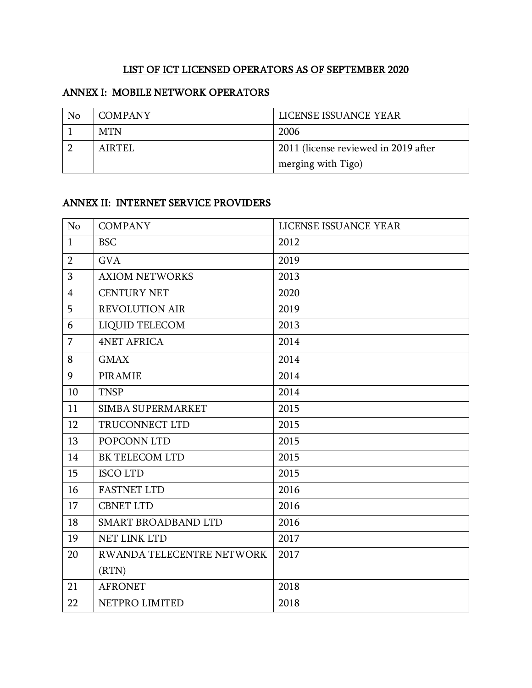## LIST OF ICT LICENSED OPERATORS AS OF SEPTEMBER 2020

## ANNEX I: MOBILE NETWORK OPERATORS

| No | <b>COMPANY</b> | LICENSE ISSUANCE YEAR                |
|----|----------------|--------------------------------------|
|    | MTN            | 2006                                 |
|    | AIRTEL         | 2011 (license reviewed in 2019 after |
|    |                | merging with Tigo)                   |

## ANNEX II: INTERNET SERVICE PROVIDERS

| No             | <b>COMPANY</b>                   | LICENSE ISSUANCE YEAR |
|----------------|----------------------------------|-----------------------|
| $\mathbf{1}$   | <b>BSC</b>                       | 2012                  |
| $\overline{2}$ | <b>GVA</b>                       | 2019                  |
| 3              | <b>AXIOM NETWORKS</b>            | 2013                  |
| $\overline{4}$ | <b>CENTURY NET</b>               | 2020                  |
| 5              | <b>REVOLUTION AIR</b>            | 2019                  |
| 6              | LIQUID TELECOM                   | 2013                  |
| $\overline{7}$ | <b>4NET AFRICA</b>               | 2014                  |
| 8              | <b>GMAX</b>                      | 2014                  |
| 9              | <b>PIRAMIE</b>                   | 2014                  |
| 10             | <b>TNSP</b>                      | 2014                  |
| 11             | SIMBA SUPERMARKET                | 2015                  |
| 12             | TRUCONNECT LTD                   | 2015                  |
| 13             | POPCONN LTD                      | 2015                  |
| 14             | BK TELECOM LTD                   | 2015                  |
| 15             | <b>ISCOLTD</b>                   | 2015                  |
| 16             | <b>FASTNET LTD</b>               | 2016                  |
| 17             | <b>CBNET LTD</b>                 | 2016                  |
| 18             | SMART BROADBAND LTD              | 2016                  |
| 19             | NET LINK LTD                     | 2017                  |
| 20             | <b>RWANDA TELECENTRE NETWORK</b> | 2017                  |
|                | (RTN)                            |                       |
| 21             | <b>AFRONET</b>                   | 2018                  |
| 22             | NETPRO LIMITED                   | 2018                  |